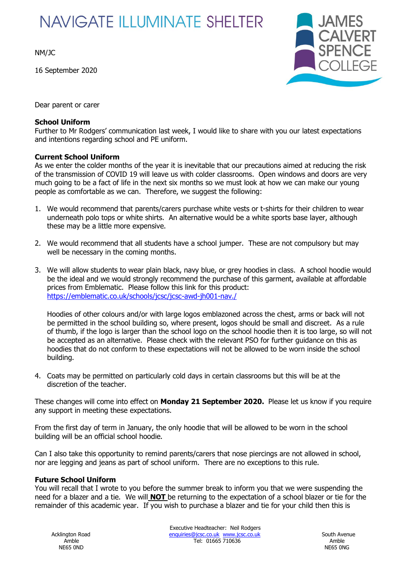# **NAVIGATE ILLUMINATE SHELTER**

NM/JC

16 September 2020



Dear parent or carer

# **School Uniform**

Further to Mr Rodgers' communication last week, I would like to share with you our latest expectations and intentions regarding school and PE uniform.

# **Current School Uniform**

As we enter the colder months of the year it is inevitable that our precautions aimed at reducing the risk of the transmission of COVID 19 will leave us with colder classrooms. Open windows and doors are very much going to be a fact of life in the next six months so we must look at how we can make our young people as comfortable as we can. Therefore, we suggest the following:

- 1. We would recommend that parents/carers purchase white vests or t-shirts for their children to wear underneath polo tops or white shirts. An alternative would be a white sports base layer, although these may be a little more expensive.
- 2. We would recommend that all students have a school jumper. These are not compulsory but may well be necessary in the coming months.
- 3. We will allow students to wear plain black, navy blue, or grey hoodies in class. A school hoodie would be the ideal and we would strongly recommend the purchase of this garment, available at affordable prices from Emblematic. Please follow this link for this product: <https://emblematic.co.uk/schools/jcsc/jcsc-awd-jh001-nav./>

Hoodies of other colours and/or with large logos emblazoned across the chest, arms or back will not be permitted in the school building so, where present, logos should be small and discreet. As a rule of thumb, if the logo is larger than the school logo on the school hoodie then it is too large, so will not be accepted as an alternative. Please check with the relevant PSO for further guidance on this as hoodies that do not conform to these expectations will not be allowed to be worn inside the school building.

4. Coats may be permitted on particularly cold days in certain classrooms but this will be at the discretion of the teacher.

These changes will come into effect on **Monday 21 September 2020.** Please let us know if you require any support in meeting these expectations.

From the first day of term in January, the only hoodie that will be allowed to be worn in the school building will be an official school hoodie.

Can I also take this opportunity to remind parents/carers that nose piercings are not allowed in school, nor are legging and jeans as part of school uniform. There are no exceptions to this rule.

# **Future School Uniform**

You will recall that I wrote to you before the summer break to inform you that we were suspending the need for a blazer and a tie. We will **NOT** be returning to the expectation of a school blazer or tie for the remainder of this academic year. If you wish to purchase a blazer and tie for your child then this is

NE65 0ND NE65 0NG

Executive Headteacher: Neil Rodgers Acklington Road **enquiries@jcsc.co.uk** [www.jcsc.co.uk](http://www.jcsc.co.uk/) www.jesse.co.uk South Avenue Amble Tel: 01665 710636 Amble